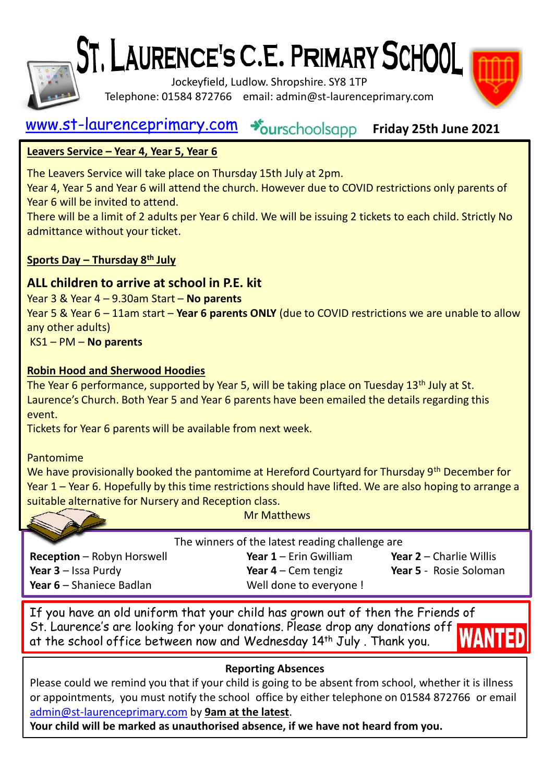

# ST. LAURENCE'S C.E. PRIMARY SCHOOL

Jockeyfield, Ludlow. Shropshire. SY8 1TP Telephone: 01584 872766 email: admin@st-laurenceprimary.com

#### [www.st-laurenceprimary.com](http://www.st-laurenceprimary.com/) +burschoolsapp **Friday 25th June 2021**

#### **Leavers Service – Year 4, Year 5, Year 6**

The Leavers Service will take place on Thursday 15th July at 2pm.

Year 4, Year 5 and Year 6 will attend the church. However due to COVID restrictions only parents of Year 6 will be invited to attend.

There will be a limit of 2 adults per Year 6 child. We will be issuing 2 tickets to each child. Strictly No admittance without your ticket.

#### **Sports Day – Thursday 8th July**

#### **ALL children to arrive at school in P.E. kit**

Year 3 & Year 4 – 9.30am Start – **No parents** Year 5 & Year 6 – 11am start – **Year 6 parents ONLY** (due to COVID restrictions we are unable to allow any other adults) KS1 – PM – **No parents**

# **Robin Hood and Sherwood Hoodies**

The Year 6 performance, supported by Year 5, will be taking place on Tuesday 13<sup>th</sup> July at St. Laurence's Church. Both Year 5 and Year 6 parents have been emailed the details regarding this event.

Tickets for Year 6 parents will be available from next week.

Pantomime

We have provisionally booked the pantomime at Hereford Courtyard for Thursday 9<sup>th</sup> December for Year 1 – Year 6. Hopefully by this time restrictions should have lifted. We are also hoping to arrange a suitable alternative for Nursery and Reception class.

|                            | <b>Mr Matthews</b>                              |                                |
|----------------------------|-------------------------------------------------|--------------------------------|
|                            | The winners of the latest reading challenge are |                                |
| Reception - Robyn Horswell | Year $1$ – Erin Gwilliam                        | <b>Year 2</b> – Charlie Willis |
| Year $3$ – Issa Purdy      | Year $4$ – Cem tengiz                           | Year 5 - Rosie Soloman         |
| Year 6 - Shaniece Badlan   | Well done to everyone !                         |                                |

If you have an old uniform that your child has grown out of then the Friends of St. Laurence's are looking for your donations. Please drop any donations off at the school office between now and Wednesday 14<sup>th</sup> July, Thank you.

#### **Reporting Absences**

Please could we remind you that if your child is going to be absent from school, whether it is illness or appointments, you must notify the school office by either telephone on 01584 872766 or email [admin@st-laurenceprimary.com](mailto:admin@st-laurenceprimary.com) by **9am at the latest**.

**Your child will be marked as unauthorised absence, if we have not heard from you.**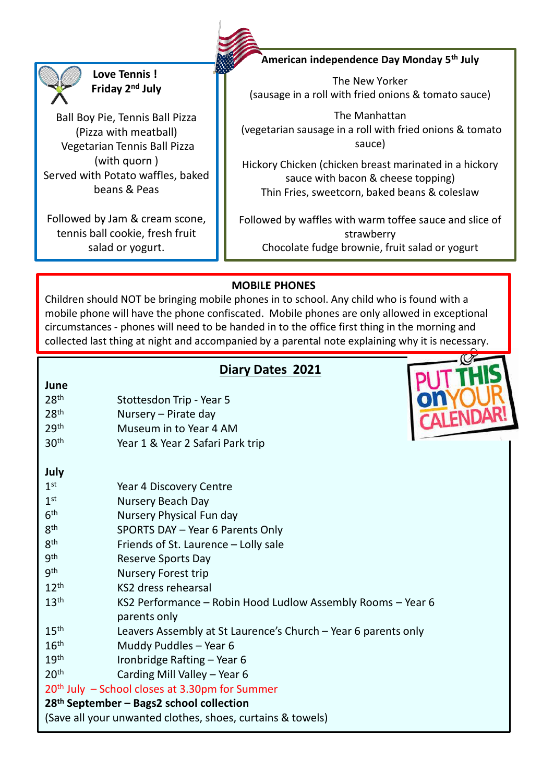

**Love Tennis ! Friday 2nd July**

Ball Boy Pie, Tennis Ball Pizza (Pizza with meatball) Vegetarian Tennis Ball Pizza (with quorn ) Served with Potato waffles, baked beans & Peas

Followed by Jam & cream scone, tennis ball cookie, fresh fruit salad or yogurt.

**American independence Day Monday 5th July**

The New Yorker (sausage in a roll with fried onions & tomato sauce)

The Manhattan (vegetarian sausage in a roll with fried onions & tomato sauce)

Hickory Chicken (chicken breast marinated in a hickory sauce with bacon & cheese topping) Thin Fries, sweetcorn, baked beans & coleslaw

Followed by waffles with warm toffee sauce and slice of strawberry Chocolate fudge brownie, fruit salad or yogurt

#### **MOBILE PHONES**

Children should NOT be bringing mobile phones in to school. Any child who is found with a mobile phone will have the phone confiscated. Mobile phones are only allowed in exceptional circumstances - phones will need to be handed in to the office first thing in the morning and collected last thing at night and accompanied by a parental note explaining why it is necessary.

### **Diary Dates 2021**

| June                                                       |                                                                             |  |  |  |
|------------------------------------------------------------|-----------------------------------------------------------------------------|--|--|--|
| 28 <sup>th</sup>                                           | Stottesdon Trip - Year 5                                                    |  |  |  |
| 28 <sup>th</sup>                                           | Nursery - Pirate day                                                        |  |  |  |
| 29th                                                       | Museum in to Year 4 AM                                                      |  |  |  |
| 30 <sup>th</sup>                                           | Year 1 & Year 2 Safari Park trip                                            |  |  |  |
|                                                            |                                                                             |  |  |  |
| July                                                       |                                                                             |  |  |  |
| 1 <sup>st</sup>                                            | Year 4 Discovery Centre                                                     |  |  |  |
| 1 <sup>st</sup>                                            | Nursery Beach Day                                                           |  |  |  |
| 6 <sup>th</sup>                                            | Nursery Physical Fun day                                                    |  |  |  |
| 8 <sup>th</sup>                                            | SPORTS DAY - Year 6 Parents Only                                            |  |  |  |
| 8 <sup>th</sup>                                            | Friends of St. Laurence - Lolly sale                                        |  |  |  |
| gth                                                        | Reserve Sports Day                                                          |  |  |  |
| <b>gth</b>                                                 | <b>Nursery Forest trip</b>                                                  |  |  |  |
| 12 <sup>th</sup>                                           | KS2 dress rehearsal                                                         |  |  |  |
| 13 <sup>th</sup>                                           | KS2 Performance - Robin Hood Ludlow Assembly Rooms - Year 6<br>parents only |  |  |  |
| 15 <sup>th</sup>                                           | Leavers Assembly at St Laurence's Church - Year 6 parents only              |  |  |  |
| 16 <sup>th</sup>                                           | Muddy Puddles - Year 6                                                      |  |  |  |
| 19 <sup>th</sup>                                           | Ironbridge Rafting - Year 6                                                 |  |  |  |
| 20 <sup>th</sup>                                           | Carding Mill Valley - Year 6                                                |  |  |  |
| 20 <sup>th</sup> July - School closes at 3.30pm for Summer |                                                                             |  |  |  |
| 28 <sup>th</sup> September - Bags2 school collection       |                                                                             |  |  |  |
| (Save all your unwanted clothes, shoes, curtains & towels) |                                                                             |  |  |  |